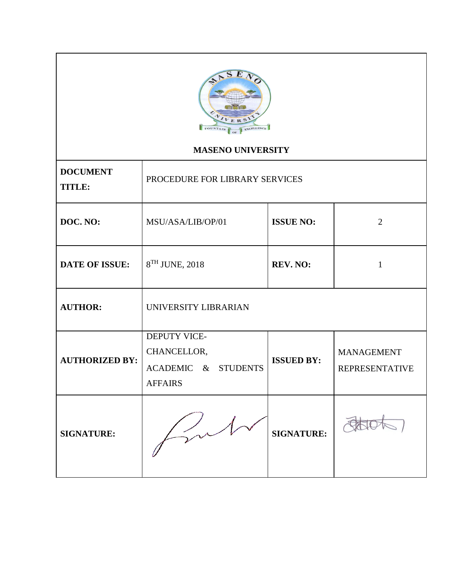

# **MASENO UNIVERSITY**

| <b>DOCUMENT</b><br><b>TITLE:</b> | PROCEDURE FOR LIBRARY SERVICES                                       |                   |                                            |
|----------------------------------|----------------------------------------------------------------------|-------------------|--------------------------------------------|
| DOC. NO:                         | MSU/ASA/LIB/OP/01                                                    | <b>ISSUE NO:</b>  | $\overline{2}$                             |
| <b>DATE OF ISSUE:</b>            | 8 <sup>TH</sup> JUNE, 2018                                           | <b>REV. NO:</b>   | $\mathbf{1}$                               |
| <b>AUTHOR:</b>                   | UNIVERSITY LIBRARIAN                                                 |                   |                                            |
| <b>AUTHORIZED BY:</b>            | DEPUTY VICE-<br>CHANCELLOR,<br>ACADEMIC & STUDENTS<br><b>AFFAIRS</b> | <b>ISSUED BY:</b> | <b>MANAGEMENT</b><br><b>REPRESENTATIVE</b> |
| <b>SIGNATURE:</b>                |                                                                      | <b>SIGNATURE:</b> |                                            |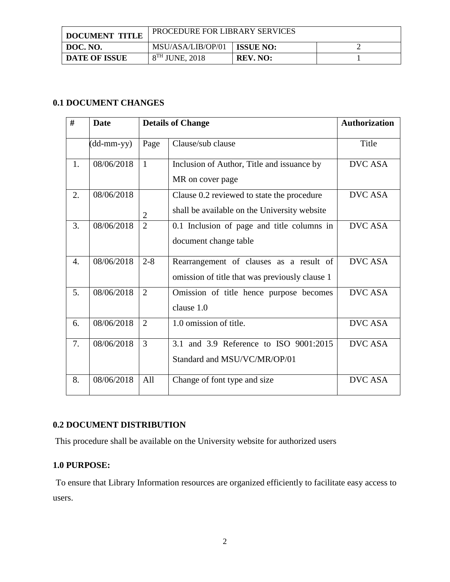| <b>DOCUMENT TITLE</b> | PROCEDURE FOR LIBRARY SERVICES |                  |  |
|-----------------------|--------------------------------|------------------|--|
| DOC. NO.              | MSU/ASA/LIB/OP/01              | <b>ISSUE NO:</b> |  |
| <b>DATE OF ISSUE</b>  | $8TH$ JUNE, 2018               | REV. NO:         |  |

# **0.1 DOCUMENT CHANGES**

| #                | <b>Date</b>  |                | <b>Details of Change</b>                                                                   | <b>Authorization</b> |
|------------------|--------------|----------------|--------------------------------------------------------------------------------------------|----------------------|
|                  | $(dd-mm-yy)$ | Page           | Clause/sub clause                                                                          | Title                |
| 1.               | 08/06/2018   | $\mathbf{1}$   | Inclusion of Author, Title and issuance by<br>MR on cover page                             | DVC ASA              |
| 2.               | 08/06/2018   | $\overline{2}$ | Clause 0.2 reviewed to state the procedure<br>shall be available on the University website | <b>DVC ASA</b>       |
| 3.               | 08/06/2018   | $\overline{2}$ | 0.1 Inclusion of page and title columns in<br>document change table                        | <b>DVC ASA</b>       |
| $\overline{4}$ . | 08/06/2018   | $2 - 8$        | Rearrangement of clauses as a result of<br>omission of title that was previously clause 1  | <b>DVC ASA</b>       |
| 5.               | 08/06/2018   | $\overline{2}$ | Omission of title hence purpose becomes<br>clause 1.0                                      | <b>DVC ASA</b>       |
| 6.               | 08/06/2018   | 2              | 1.0 omission of title.                                                                     | <b>DVC ASA</b>       |
| 7.               | 08/06/2018   | $\overline{3}$ | 3.1 and 3.9 Reference to ISO 9001:2015<br>Standard and MSU/VC/MR/OP/01                     | <b>DVC ASA</b>       |
| 8.               | 08/06/2018   | All            | Change of font type and size                                                               | <b>DVC ASA</b>       |

# **0.2 DOCUMENT DISTRIBUTION**

This procedure shall be available on the University website for authorized users

# **1.0 PURPOSE:**

To ensure that Library Information resources are organized efficiently to facilitate easy access to users.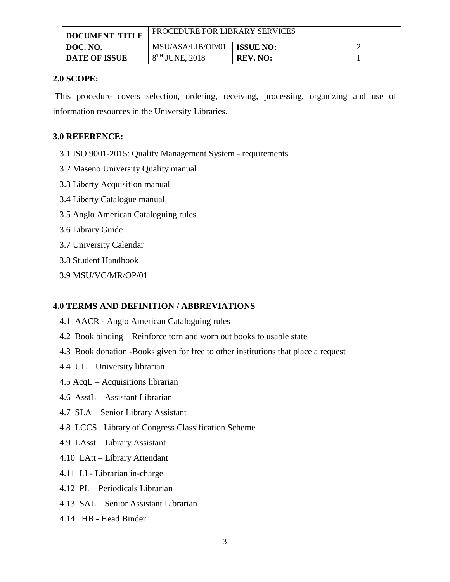| <b>DOCUMENT TITLE</b> | PROCEDURE FOR LIBRARY SERVICES |                  |  |
|-----------------------|--------------------------------|------------------|--|
| DOC. NO.              | MSU/ASA/LIB/OP/01              | <b>ISSUE NO:</b> |  |
| <b>DATE OF ISSUE</b>  | $8TH$ JUNE, 2018               | <b>REV. NO:</b>  |  |

## **2.0 SCOPE:**

This procedure covers selection, ordering, receiving, processing, organizing and use of information resources in the University Libraries.

## **3.0 REFERENCE:**

- 3.1 ISO 9001-2015: Quality Management System requirements
- 3.2 Maseno University Quality manual
- 3.3 Liberty Acquisition manual
- 3.4 Liberty Catalogue manual
- 3.5 Anglo American Cataloguing rules
- 3.6 Library Guide
- 3.7 University Calendar
- 3.8 Student Handbook
- 3.9 MSU/VC/MR/OP/01

## **4.0 TERMS AND DEFINITION / ABBREVIATIONS**

- 4.1 AACR Anglo American Cataloguing rules
- 4.2 Book binding Reinforce torn and worn out books to usable state
- 4.3Book donation -Books given for free to other institutions that place a request
- 4.4 UL University librarian
- 4.5 AcqL Acquisitions librarian
- 4.6 AsstL Assistant Librarian
- 4.7 SLA Senior Library Assistant
- 4.8 LCCS –Library of Congress Classification Scheme
- 4.9 LAsst Library Assistant
- 4.10 LAtt Library Attendant
- 4.11 LI Librarian in-charge
- 4.12 PL Periodicals Librarian
- 4.13 SAL Senior Assistant Librarian
- 4.14 HB Head Binder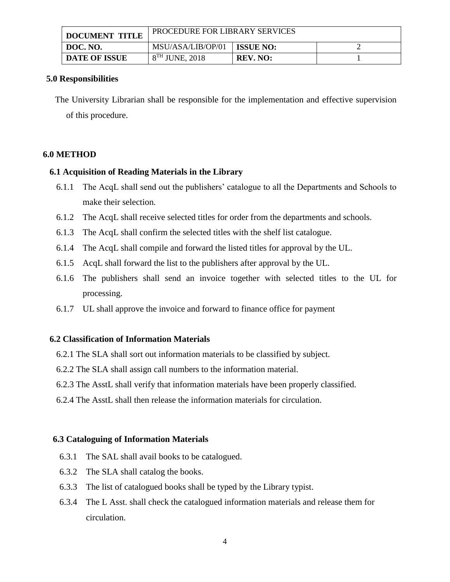| <b>DOCUMENT TITLE</b> | <b>PROCEDURE FOR LIBRARY SERVICES</b> |                  |  |
|-----------------------|---------------------------------------|------------------|--|
| DOC. NO.              | MSU/ASA/LIB/OP/01                     | <b>ISSUE NO:</b> |  |
| <b>DATE OF ISSUE</b>  | $8TH$ JUNE, 2018                      | <b>REV. NO:</b>  |  |

#### **5.0 Responsibilities**

The University Librarian shall be responsible for the implementation and effective supervision of this procedure.

### **6.0 METHOD**

### **6.1 Acquisition of Reading Materials in the Library**

- 6.1.1 The AcqL shall send out the publishers' catalogue to all the Departments and Schools to make their selection.
- 6.1.2 The AcqL shall receive selected titles for order from the departments and schools.
- 6.1.3 The AcqL shall confirm the selected titles with the shelf list catalogue.
- 6.1.4 The AcqL shall compile and forward the listed titles for approval by the UL.
- 6.1.5 AcqL shall forward the list to the publishers after approval by the UL.
- 6.1.6 The publishers shall send an invoice together with selected titles to the UL for processing.
- 6.1.7 UL shall approve the invoice and forward to finance office for payment

### **6.2 Classification of Information Materials**

- 6.2.1 The SLA shall sort out information materials to be classified by subject.
- 6.2.2 The SLA shall assign call numbers to the information material.
- 6.2.3 The AsstL shall verify that information materials have been properly classified.
- 6.2.4 The AsstL shall then release the information materials for circulation.

#### **6.3 Cataloguing of Information Materials**

- 6.3.1 The SAL shall avail books to be catalogued.
- 6.3.2 The SLA shall catalog the books.
- 6.3.3 The list of catalogued books shall be typed by the Library typist.
- 6.3.4 The L Asst. shall check the catalogued information materials and release them for circulation.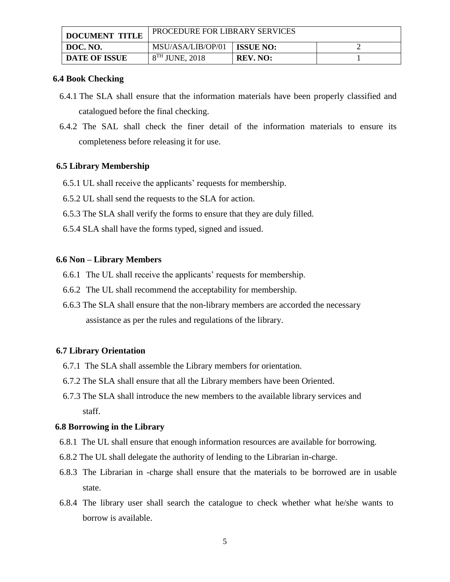| <b>DOCUMENT TITLE</b> | <b>PROCEDURE FOR LIBRARY SERVICES</b> |                  |  |
|-----------------------|---------------------------------------|------------------|--|
| DOC. NO.              | MSU/ASA/LIB/OP/01                     | <b>ISSUE NO:</b> |  |
| <b>DATE OF ISSUE</b>  | $8TH$ JUNE, 2018                      | <b>REV. NO:</b>  |  |

#### **6.4 Book Checking**

- 6.4.1 The SLA shall ensure that the information materials have been properly classified and catalogued before the final checking.
- 6.4.2 The SAL shall check the finer detail of the information materials to ensure its completeness before releasing it for use.

### **6.5 Library Membership**

- 6.5.1 UL shall receive the applicants' requests for membership.
- 6.5.2 UL shall send the requests to the SLA for action.
- 6.5.3 The SLA shall verify the forms to ensure that they are duly filled.
- 6.5.4 SLA shall have the forms typed, signed and issued.

#### **6.6 Non – Library Members**

- 6.6.1 The UL shall receive the applicants' requests for membership.
- 6.6.2 The UL shall recommend the acceptability for membership.
- 6.6.3 The SLA shall ensure that the non-library members are accorded the necessary assistance as per the rules and regulations of the library.

#### **6.7 Library Orientation**

- 6.7.1 The SLA shall assemble the Library members for orientation.
- 6.7.2 The SLA shall ensure that all the Library members have been Oriented.
- 6.7.3 The SLA shall introduce the new members to the available library services and staff.

#### **6.8 Borrowing in the Library**

- 6.8.1 The UL shall ensure that enough information resources are available for borrowing.
- 6.8.2 The UL shall delegate the authority of lending to the Librarian in-charge.
- 6.8.3 The Librarian in -charge shall ensure that the materials to be borrowed are in usable state.
- 6.8.4 The library user shall search the catalogue to check whether what he/she wants to borrow is available.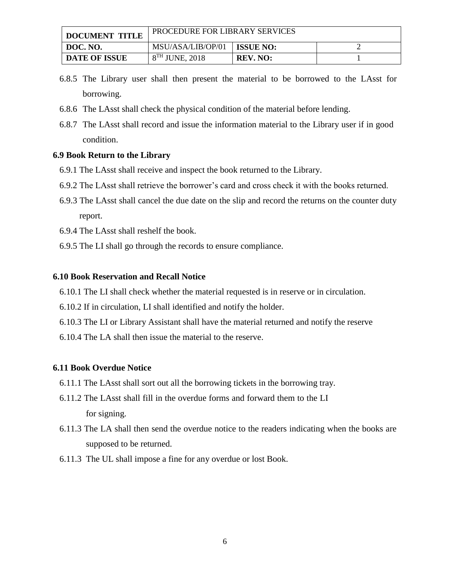| <b>DOCUMENT TITLE</b> | PROCEDURE FOR LIBRARY SERVICES |                  |  |
|-----------------------|--------------------------------|------------------|--|
| DOC. NO.              | MSU/ASA/LIB/OP/01              | <b>ISSUE NO:</b> |  |
| <b>DATE OF ISSUE</b>  | $8TH$ JUNE, 2018               | <b>REV. NO:</b>  |  |

- 6.8.5 The Library user shall then present the material to be borrowed to the LAsst for borrowing.
- 6.8.6 The LAsst shall check the physical condition of the material before lending.
- 6.8.7 The LAsst shall record and issue the information material to the Library user if in good condition.

## **6.9 Book Return to the Library**

- 6.9.1 The LAsst shall receive and inspect the book returned to the Library.
- 6.9.2 The LAsst shall retrieve the borrower's card and cross check it with the books returned.
- 6.9.3 The LAsst shall cancel the due date on the slip and record the returns on the counter duty report.
- 6.9.4 The LAsst shall reshelf the book.
- 6.9.5 The LI shall go through the records to ensure compliance.

### **6.10 Book Reservation and Recall Notice**

- 6.10.1 The LI shall check whether the material requested is in reserve or in circulation.
- 6.10.2 If in circulation, LI shall identified and notify the holder.
- 6.10.3 The LI or Library Assistant shall have the material returned and notify the reserve
- 6.10.4 The LA shall then issue the material to the reserve.

### **6.11 Book Overdue Notice**

- 6.11.1 The LAsst shall sort out all the borrowing tickets in the borrowing tray.
- 6.11.2 The LAsst shall fill in the overdue forms and forward them to the LI for signing.
- 6.11.3 The LA shall then send the overdue notice to the readers indicating when the books are supposed to be returned.
- 6.11.3 The UL shall impose a fine for any overdue or lost Book.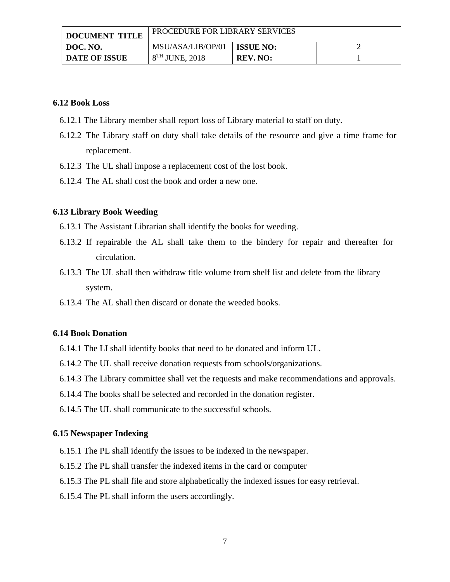| <b>DOCUMENT TITLE</b> | <b>PROCEDURE FOR LIBRARY SERVICES</b> |                  |  |
|-----------------------|---------------------------------------|------------------|--|
| DOC. NO.              | MSU/ASA/LIB/OP/01                     | <b>ISSUE NO:</b> |  |
| <b>DATE OF ISSUE</b>  | $8TH$ JUNE, 2018                      | <b>REV. NO:</b>  |  |

#### **6.12 Book Loss**

- 6.12.1 The Library member shall report loss of Library material to staff on duty.
- 6.12.2 The Library staff on duty shall take details of the resource and give a time frame for replacement.
- 6.12.3 The UL shall impose a replacement cost of the lost book.
- 6.12.4 The AL shall cost the book and order a new one.

#### **6.13 Library Book Weeding**

- 6.13.1 The Assistant Librarian shall identify the books for weeding.
- 6.13.2 If repairable the AL shall take them to the bindery for repair and thereafter for circulation.
- 6.13.3 The UL shall then withdraw title volume from shelf list and delete from the library system.
- 6.13.4 The AL shall then discard or donate the weeded books.

### **6.14 Book Donation**

- 6.14.1 The LI shall identify books that need to be donated and inform UL.
- 6.14.2 The UL shall receive donation requests from schools/organizations.
- 6.14.3 The Library committee shall vet the requests and make recommendations and approvals.
- 6.14.4 The books shall be selected and recorded in the donation register.
- 6.14.5 The UL shall communicate to the successful schools.

#### **6.15 Newspaper Indexing**

- 6.15.1 The PL shall identify the issues to be indexed in the newspaper.
- 6.15.2 The PL shall transfer the indexed items in the card or computer
- 6.15.3 The PL shall file and store alphabetically the indexed issues for easy retrieval.
- 6.15.4 The PL shall inform the users accordingly.